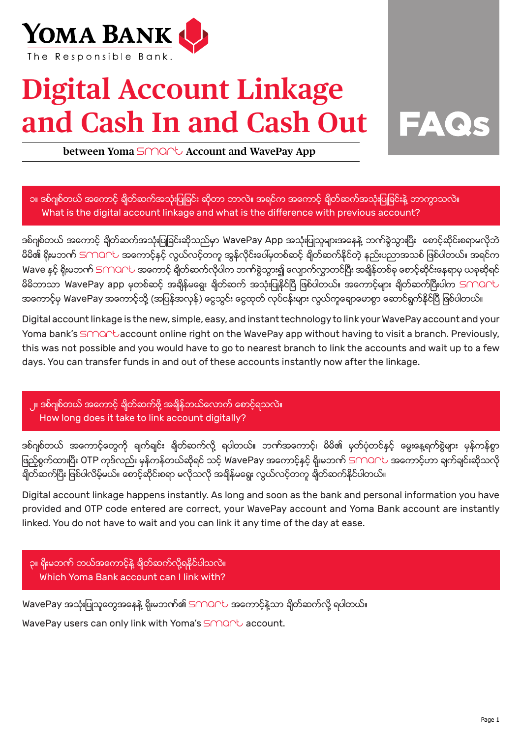

## **Digital Account Linkage and Cash In and Cash Out**



**between Yoma** SMO<sub>C</sub>U Account and WavePay App

၁။ ဒစ်ဂျစ်တယ် အကောင့် ချိတ်ဆက်အသုံးပြုခြင်း ဆိုတာ ဘာလဲ။ အရင်က အကောင့် ချိတ်ဆက်အသုံးပြုခြင်းနဲ့ ဘာကွာသလဲ။ What is the digital account linkage and what is the difference with previous account?

ဒစ်ဂျစ်တယ် အကောင့် ချိတ်ဆက်အသုံးပြုခြင်းဆိုသည်မှာ WavePay App အသုံးပြုသူများအနေနဲ့ ဘက်ခွဲသွားပြီး ေစာင့်ဆိုင်းစရာမလိုဘဲ မိမိ၏ ရိုးမဘဏ် SMOCU အကောင့်နှင့် လွယ်လင့်တကူ အွန်လိုင်းပေါ်မှတစ်ဆင့် ချိတ်ဆက်နိုင်တဲ့ နည်းပညာအသစ် ဖြစ်ပါတယ်။ အရင်က Wave နှင့် ရိုးမဘဏ် SMONU အကောင့် ချိတ်ဆက်လိုပါက ဘဏ်ခွဲသွား၍ လျောက်လွာတင်ပြီး အချိန်တစ်ခု စောင့်ဆိုင်းနေရာမှ ယခုဆိုရင် မိမိဘာသာ WavePay app မှတစ်ဆင့် အချိန်မရွေး ချိတ်ဆက် အသုံးပြုနိုင်ပြီ ဖြစ်ပါတယ်။ အကောင့်များ ချိတ်ဆက်ပြီးပါက SMOAL အကောင့်မှ WavePay အကောင့်သို့ (အပြန်အလှန်) ငွေသွင်း ငွေထုတ် လုပ်ငန်းများ လွယ်ကူချောမောစွာ ဆောင်ရွက်နိုင်ပြီ ဖြစ်ပါတယ်။

Digital account linkage is the new, simple, easy, and instant technology to link your WavePay account and your Yoma bank's  $SMAC$ baccount online right on the WavePay app without having to visit a branch. Previously, this was not possible and you would have to go to nearest branch to link the accounts and wait up to a few days. You can transfer funds in and out of these accounts instantly now after the linkage.

၂။ ဒစ်ဂျစ်တယ် အကောင့် ချိတ်ဆက်ဖို့ အချိန်ဘယ်လောက် စောင့်ရသလဲ။ How long does it take to link account digitally?

ဒစ်ဂျစ်တယ် အကောင့်တွေကို ချက်ချင်း ချိတ်ဆက်လို့ ရပါတယ်။ ဘဏ်အကောင့်၊ မိမိ၏ မှတ်ပုံတင်နှင့် မွေးနေ့ရက်စွဲများ မှန်ကန်စွာ ဖြည့်စွက်ထားပြီး OTP ကုဒ်လည်း မှန်ကန်တယ်ဆိုရင် သင့် WavePay အကောင့်နှင့် ရိုးမဘက် SMOCL အကောင့်ဟာ ချက်ချင်းဆိုသလို ချိတ်ဆက်ပြီး ဖြစ်ပါလိမ့်မယ်။ ေစာင့်ဆိုင်းစရာ မလိုသလို အချိန်မရွေး လွယ်လင့်တကူ ချိတ်ဆက်နိုင်ပါတယ်။

Digital account linkage happens instantly. As long and soon as the bank and personal information you have provided and OTP code entered are correct, your WavePay account and Yoma Bank account are instantly linked. You do not have to wait and you can link it any time of the day at ease.

ှာ။ ရိုးမဘဏ် ဘယ်အကောင့်နဲ့ ချိတ်ဆက်လို့ရနိုင်ပါသလဲ။ Which Yoma Bank account can I link with?

WavePay အသုံးပြုသူတွေအနေနဲ့ ရိုးမဘက်၏ SMOCL အကောင့်နဲ့သာ ချိတ်ဆက်လို့ ရပါတယ်။ WavePay users can only link with Yoma's SMART account.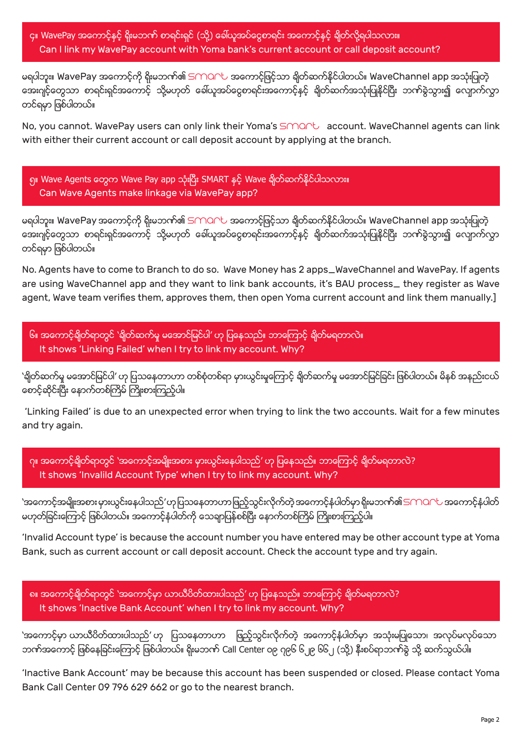၄။ WavePay အကောင့်နှင့် ရိုးမဘဏ် စာရင်းရှင် (သို့) ခေါ်ယူအပ်ငွေစာရင်း အကောင့်နှင့် ချိတ်လို့ရပါသလား။ Can I link my WavePay account with Yoma bank's current account or call deposit account?

မရပါဘူး။ WavePay အကောင့်ကို ရိုးမဘဏ်၏ SMOCL အကောင့်ဖြင့်သာ ရိုတ်ဆက်နိုင်ပါတယ်။ WaveChannel app အသုံးပြုတဲ့ အေးဂျင့်တွေသာ စာရင်းရှင်အကောင့် သို့မဟုတ် ခေါ်ယူအပ်ငွေစာရင်းအကောင့်နှင့် ချိတ်ဆက်အသုံးပြုနိုင်ပြီး ဘဏ်ခွဲသွား၍ လျောက်လွှာ တင္ရမွာ ျဖစ္ပါတယ္။

No, you cannot. WavePay users can only link their Yoma's SMART account. WaveChannel agents can link with either their current account or call deposit account by applying at the branch.

၅။ Wave Agents ေတြက Wave Pay app သုံးၿပီး SMART ႏွင့္ Wave ခ်ိတ္ဆက္နိုင္ပါသလား။ Can Wave Agents make linkage via WavePay app?

မရပါဘူး။ WavePay အကောင့်ကို ရိုးမဘက်၏ SMOCL အကောင့်ဖြင့်သာ ရိုတ်ဆက်နိုင်ပါတယ်။ WaveChannel app အသုံးပြုတဲ့ အေးဂျင့်တွေသာ စာရင်းရှင်အကောင့် သို့မဟုတ် ခေါ်ယူအပ်ငွေစာရင်းအကောင့်နှင့် ချိတ်ဆက်အသုံးပြုနိုင်ပြီး ဘဏ်ခွဲသွား၍ လျောက်လွှာ တင္ရမွာ ျဖစ္ပါတယ္။

No. Agents have to come to Branch to do so. Wave Money has 2 apps\_WaveChannel and WavePay. If agents are using WaveChannel app and they want to link bank accounts, it's BAU process\_ they register as Wave agent, Wave team verifies them, approves them, then open Yoma current account and link them manually.]

၆။ အကောင့်ချိတ်ရာတွင် 'ချိတ်ဆက်မှု မအောင်မြင်ပါ' ဟု ပြနေသည်။ ဘာကြောင့် ချိတ်မရတာလဲ။ It shows 'Linking Failed' when I try to link my account. Why?

'ရိုတ်ဆက်မှု မအောင်မြင်ပါ' ဟု ပြသနေတာဟာ တစ်စုံတစ်ရာ မှားယွင်းမှုကြောင့် ရိုတ်ဆက်မှု မအောင်မြင်ခြင်း ဖြစ်ပါတယ်။ မိနစ် အနည်းငယ် ေစာင့္ဆိုင္းၿပီး ေနာက္တစ္ႀကိမ္ ႀကိဳးစားၾကည့္ပါ။

 'Linking Failed' is due to an unexpected error when trying to link the two accounts. Wait for a few minutes and try again.

ဂု။ အကောင့်ချိတ်ရာတွင် 'အကောင့်အမျိုးအစား မှားယွင်းနေပါသည်' ဟု ပြနေသည်။ ဘာကြောင့် ချိတ်မရတာလဲ? It shows 'Invalild Account Type' when I try to link my account. Why?

'အကောင့်အမျိုးအစား မှားယွင်းနေပါသည်'ဟု ပြသနေတာဟာ ဖြည့်သွင်းလိုက်တဲ့ အကောင့်နံပါတ်မှာ ရိုးမဘဏ်၏ SMOAU အကောင့်နံပါတ် မဟုတ်ခြင်းေကြာင့် ဖြစ်ပါတယ်။ အကောင့်နံပါတ်ကို သေချာပြန်စစ်ပြီး ေနာက်တစ်ကြိမ် ကြိုးစားကြည့်ပါ။

'Invalid Account type' is because the account number you have entered may be other account type at Yoma Bank, such as current account or call deposit account. Check the account type and try again.

၈။ အေကာင့္ခ်ိတ္ရာတြင္ 'အေကာင့္မွာ ယာယီပိတ္ထားပါသည္' ဟု ျပေနသည္။ ဘာေၾကာင့္ ခ်ိတ္မရတာလဲ? It shows 'Inactive Bank Account' when I try to link my account. Why?

'အေကာင့္မွာ ယာယီပိတ္ထားပါသည္' ဟု ျပသေနတာဟာ ျဖည့္သြင္းလိုက္တဲ့ အေကာင့္နံပါတ္မွာ အသုံးမျပဳေသာ၊ အလုပ္မလုပ္ေသာ ဘဏ်အကောင့် ဖြစ်နေခြင်းကြောင့် ဖြစ်ပါတယ်။ ရိုးမဘဏ် Call Center ၀၉ ၇၉၆ ၆၂၉ ၆၆၂ (သို့) နီးစပ်ရာဘဏ်ခွဲ သို့ ဆက်သွယ်ပါ။

'Inactive Bank Account' may be because this account has been suspended or closed. Please contact Yoma Bank Call Center 09 796 629 662 or go to the nearest branch.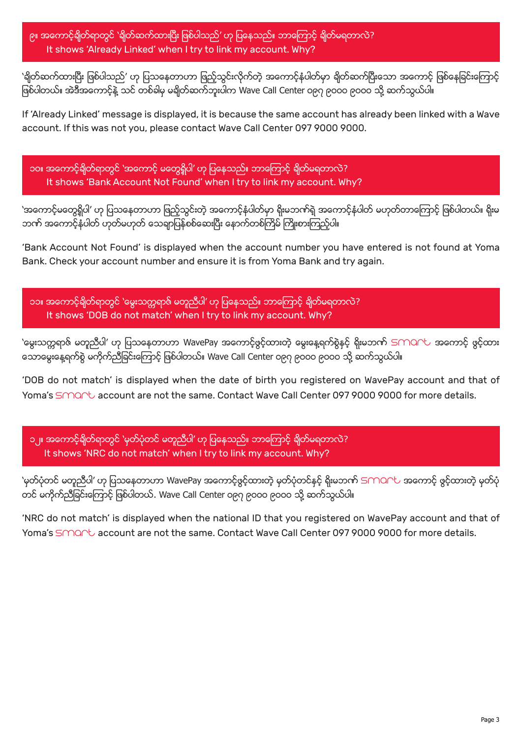၉။ အကောင့်ချိတ်ရာတွင် 'ချိတ်ဆက်ထားပြီး ဖြစ်ပါသည်' ဟု ပြနေသည်။ ဘာကြောင့် ချိတ်မရတာလဲ? It shows 'Already Linked' when I try to link my account. Why?

'ရိုတ်ဆက်ထားပြီး ဖြစ်ပါသည်' ဟု ပြသနေတာဟာ ဖြည့်သွင်းလိုက်တဲ့ အကောင့်နံပါတ်မှာ ရိုတ်ဆက်ပြီးသော အကောင့် ဖြစ်နေခြင်းကြောင့် ဖြစ်ပါတယ်။ အဲဒီအကောင့်နဲ့ သင် တစ်ခါမှ မချိတ်ဆက်ဘူးပါက Wave Call Center ၀၉၇ ၉၀၀၀ ၉၀၀၀ သို့ ဆက်သွယ်ပါ။

If 'Already Linked' message is displayed, it is because the same account has already been linked with a Wave account. If this was not you, please contact Wave Call Center 097 9000 9000.

၁၀။ အေကာင့္ခ်ိတ္ရာတြင္ 'အေကာင့္ မေတြ႕ရွိပါ' ဟု ျပေနသည္။ ဘာေၾကာင့္ ခ်ိတ္မရတာလဲ? It shows 'Bank Account Not Found' when I try to link my account. Why?

'အကောင့်မတွေရှိပါ' ဟု ပြသနေတာဟာ ဖြည့်သွင်းတဲ့ အကောင့်နံပါတ်မှာ ရိုးမဘက်ရဲ့ အကောင့်နံပါတ် မဟုတ်တာကြောင့် ဖြစ်ပါတယ်။ ရိုးမ ဘဏ် အကောင့်နံပါတ် ဟုတ်မဟုတ် သေချာပြန်စစ်ဆေးပြီး နောက်တစ်ကြိမ် ကြိုးစားကြည့်ပါ။

'Bank Account Not Found' is displayed when the account number you have entered is not found at Yoma Bank. Check your account number and ensure it is from Yoma Bank and try again.

၁၁။ အကောင့်ရိတ်ရာတွင် 'မွေးသက္တရာဇ် မတူညီပါ' ဟု ပြနေသည်။ ဘာကြောင့် ရိတ်မရတာလဲ? It shows 'DOB do not match' when I try to link my account. Why?

'မွေးသက္တရာဇ် မတူညီပါ' ဟု ပြသနေတာဟာ WavePay အကောင့်ဖွင့်ထားတဲ့ မွေးနေ့ရက်စွဲနှင့် ရိုးမဘက် SMOAC အကောင့် ဖွင့်ထား ေသာေမြးေန႔ရက္စြဲ မကိုက္ညီျခင္းေၾကာင့္ ျဖစ္ပါတယ္။ Wave Call Center ၀၉၇ ၉၀၀၀ ၉၀၀၀ သို႔ ဆက္သြယ္ပါ။

'DOB do not match' is displayed when the date of birth you registered on WavePay account and that of Yoma's SMART account are not the same. Contact Wave Call Center 097 9000 9000 for more details.

၁၂။ အေကာင့္ခ်ိတ္ရာတြင္ 'မွတ္ပုံတင္ မတူညီပါ' ဟု ျပေနသည္။ ဘာေၾကာင့္ ခ်ိတ္မရတာလဲ? It shows 'NRC do not match' when I try to link my account. Why?

'မှတ်ပုံတင် မတူညီပါ' ဟု ပြသနေတာဟာ WavePay အကောင့်ဖွင့်ထားတဲ့ မှတ်ပုံတင်နှင့် ရိုးမဘက် SMOAL အကောင့် ဖွင့်ထားတဲ့ မှတ်ပုံ တင် မကိုက်ညီခြင်းကြောင့် ဖြစ်ပါတယ်. Wave Call Center ၀၉၇ ၉၀၀၀ ၉၀၀၀ သို့ ဆက်သွယ်ပါ။

'NRC do not match' is displayed when the national ID that you registered on WavePay account and that of Yoma's SMART account are not the same. Contact Wave Call Center 097 9000 9000 for more details.